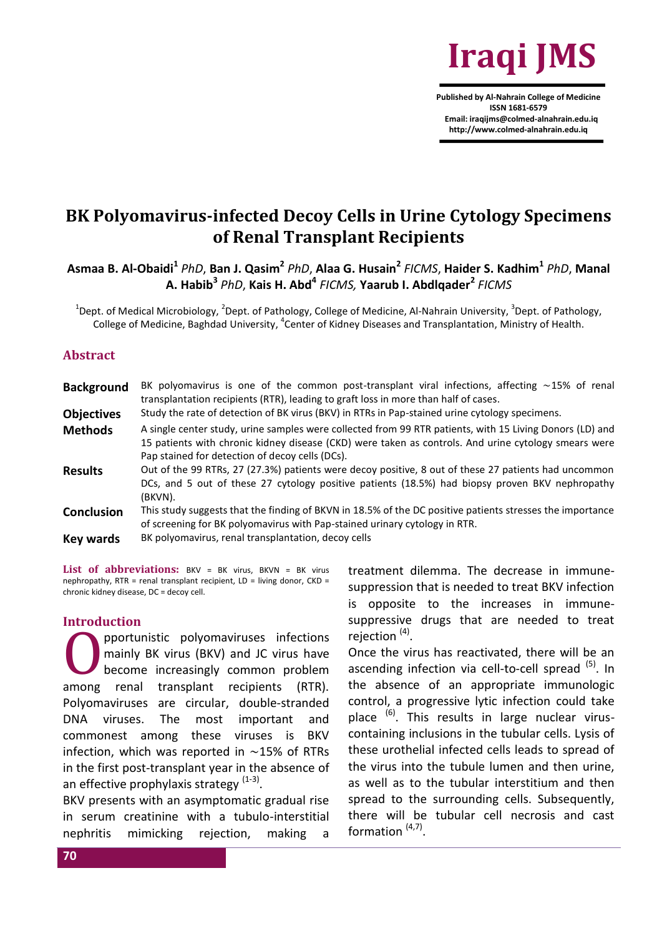

**Published by Al-Nahrain College of Medicine ISSN 1681-6579 Email: iraqijms@colmed-alnahrain.edu.iq http://www.colmed-alnahrain.edu.iq**

# **BK Polyomavirus-infected Decoy Cells in Urine Cytology Specimens of Renal Transplant Recipients**

**Asmaa B. Al-Obaidi<sup>1</sup>** *PhD*, **Ban J. Qasim 2** *PhD*, **Alaa G. Husain<sup>2</sup>** *FICMS*, **Haider S. Kadhim<sup>1</sup>** *PhD*, **Manal A. Habib<sup>3</sup>** *PhD*, **Kais H. Abd<sup>4</sup>** *FICMS,* **Yaarub I. Abdlqader<sup>2</sup>** *FICMS*

 $^1$ Dept. of Medical Microbiology,  $^2$ Dept. of Pathology, College of Medicine, Al-Nahrain University,  $^3$ Dept. of Pathology, College of Medicine, Baghdad University, <sup>4</sup>Center of Kidney Diseases and Transplantation, Ministry of Health.

#### **Abstract**

| <b>Background</b> | BK polyomavirus is one of the common post-transplant viral infections, affecting $\sim$ 15% of renal<br>transplantation recipients (RTR), leading to graft loss in more than half of cases.                                                                         |  |  |  |  |
|-------------------|---------------------------------------------------------------------------------------------------------------------------------------------------------------------------------------------------------------------------------------------------------------------|--|--|--|--|
| <b>Objectives</b> | Study the rate of detection of BK virus (BKV) in RTRs in Pap-stained urine cytology specimens.                                                                                                                                                                      |  |  |  |  |
| <b>Methods</b>    | A single center study, urine samples were collected from 99 RTR patients, with 15 Living Donors (LD) and<br>15 patients with chronic kidney disease (CKD) were taken as controls. And urine cytology smears were<br>Pap stained for detection of decoy cells (DCs). |  |  |  |  |
| <b>Results</b>    | Out of the 99 RTRs, 27 (27.3%) patients were decoy positive, 8 out of these 27 patients had uncommon<br>DCs, and 5 out of these 27 cytology positive patients (18.5%) had biopsy proven BKV nephropathy<br>(BKVN).                                                  |  |  |  |  |
| <b>Conclusion</b> | This study suggests that the finding of BKVN in 18.5% of the DC positive patients stresses the importance<br>of screening for BK polyomavirus with Pap-stained urinary cytology in RTR.                                                                             |  |  |  |  |
| Key wards         | BK polyomavirus, renal transplantation, decoy cells                                                                                                                                                                                                                 |  |  |  |  |

List of abbreviations: BKV = BK virus, BKVN = BK virus nephropathy, RTR = renal transplant recipient,  $LD =$  living donor,  $CKD =$ chronic kidney disease, DC = decoy cell.

### **Introduction**

pportunistic polyomaviruses infections mainly BK virus (BKV) and JC virus have become increasingly common problem among renal transplant recipients (RTR). Polyomaviruses are circular, double-stranded DNA viruses. The most important and commonest among these viruses is BKV infection, which was reported in ∼15% of RTRs in the first post-transplant year in the absence of an effective prophylaxis strategy  $(1-3)$ . O

BKV presents with an asymptomatic gradual rise in serum creatinine with a tubulo-interstitial nephritis mimicking rejection, making a treatment dilemma. The decrease in immunesuppression that is needed to treat BKV infection is opposite to the increases in immunesuppressive drugs that are needed to treat rejection<sup>(4)</sup>.

Once the virus has reactivated, there will be an ascending infection via cell-to-cell spread <sup>(5)</sup>. In the absence of an appropriate immunologic control, a progressive lytic infection could take place <sup>(6)</sup>. This results in large nuclear viruscontaining inclusions in the tubular cells. Lysis of these urothelial infected cells leads to spread of the virus into the tubule lumen and then urine, as well as to the tubular interstitium and then spread to the surrounding cells. Subsequently, there will be tubular cell necrosis and cast formation<sup>(4,7)</sup>.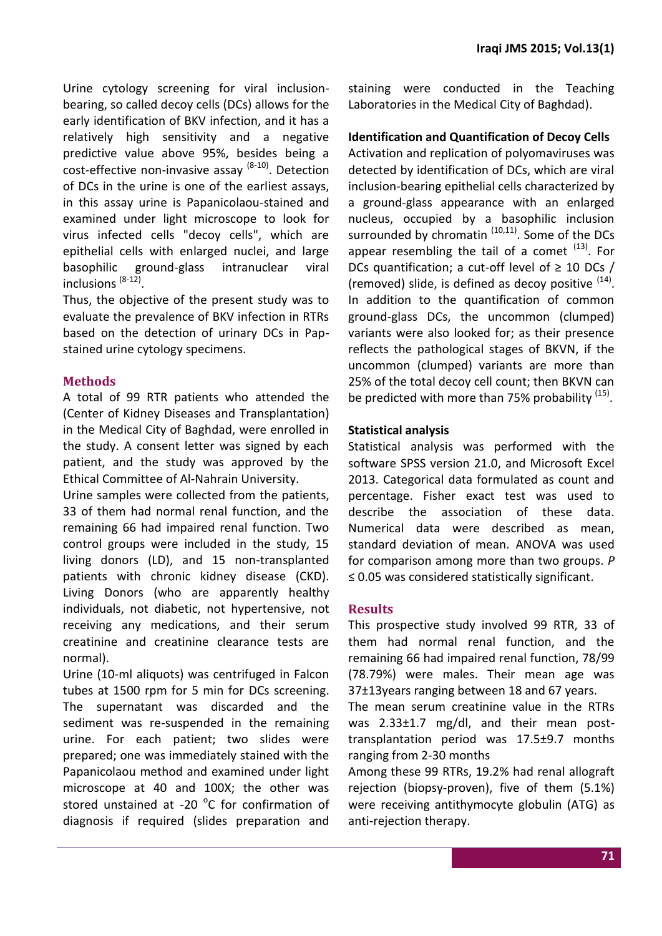Urine cytology screening for viral inclusionbearing, so called decoy cells (DCs) allows for the early identification of BKV infection, and it has a relatively high sensitivity and a negative predictive value above 95%, besides being a cost-effective non-invasive assay <sup>(8-10)</sup>. Detection of DCs in the urine is one of the earliest assays, in this assay urine is Papanicolaou-stained and examined under light microscope to look for virus infected cells "decoy cells", which are epithelial cells with enlarged nuclei, and large basophilic ground-glass intranuclear viral inclusions (8-12) .

Thus, the objective of the present study was to evaluate the prevalence of BKV infection in RTRs based on the detection of urinary DCs in Papstained urine cytology specimens.

# **Methods**

A total of 99 RTR patients who attended the (Center of Kidney Diseases and Transplantation) in the Medical City of Baghdad, were enrolled in the study. A consent letter was signed by each patient, and the study was approved by the Ethical Committee of Al-Nahrain University.

Urine samples were collected from the patients, 33 of them had normal renal function, and the remaining 66 had impaired renal function. Two control groups were included in the study, 15 living donors (LD), and 15 non-transplanted patients with chronic kidney disease (CKD). Living Donors (who are apparently healthy individuals, not diabetic, not hypertensive, not receiving any medications, and their serum creatinine and creatinine clearance tests are normal).

Urine (10-ml aliquots) was centrifuged in Falcon tubes at 1500 rpm for 5 min for DCs screening. The supernatant was discarded and the sediment was re-suspended in the remaining urine. For each patient; two slides were prepared; one was immediately stained with the Papanicolaou method and examined under light microscope at 40 and 100X; the other was stored unstained at -20 $\,^{\circ}$ C for confirmation of diagnosis if required (slides preparation and staining were conducted in the Teaching Laboratories in the Medical City of Baghdad).

### **Identification and Quantification of Decoy Cells**

Activation and replication of polyomaviruses was detected by identification of DCs, which are viral inclusion-bearing epithelial cells characterized by a ground-glass appearance with an enlarged nucleus, occupied by a basophilic inclusion surrounded by chromatin  $(10,11)$ . Some of the DCs appear resembling the tail of a comet  $(13)$ . For DCs quantification; a cut-off level of  $\geq 10$  DCs / (removed) slide, is defined as decoy positive  $(14)$ . In addition to the quantification of common ground-glass DCs, the uncommon (clumped) variants were also looked for; as their presence reflects the pathological stages of BKVN, if the uncommon (clumped) variants are more than 25% of the total decoy cell count; then BKVN can be predicted with more than 75% probability <sup>(15)</sup>.

### **Statistical analysis**

Statistical analysis was performed with the software SPSS version 21.0, and Microsoft Excel 2013. Categorical data formulated as count and percentage. Fisher exact test was used to describe the association of these data. Numerical data were described as mean, standard deviation of mean. ANOVA was used for comparison among more than two groups. *P* ≤ 0.05 was considered statistically significant.

### **Results**

This prospective study involved 99 RTR, 33 of them had normal renal function, and the remaining 66 had impaired renal function, 78/99 (78.79%) were males. Their mean age was 37±13years ranging between 18 and 67 years.

The mean serum creatinine value in the RTRs was 2.33±1.7 mg/dl, and their mean posttransplantation period was 17.5±9.7 months ranging from 2-30 months

Among these 99 RTRs, 19.2% had renal allograft rejection (biopsy-proven), five of them (5.1%) were receiving antithymocyte globulin (ATG) as anti-rejection therapy.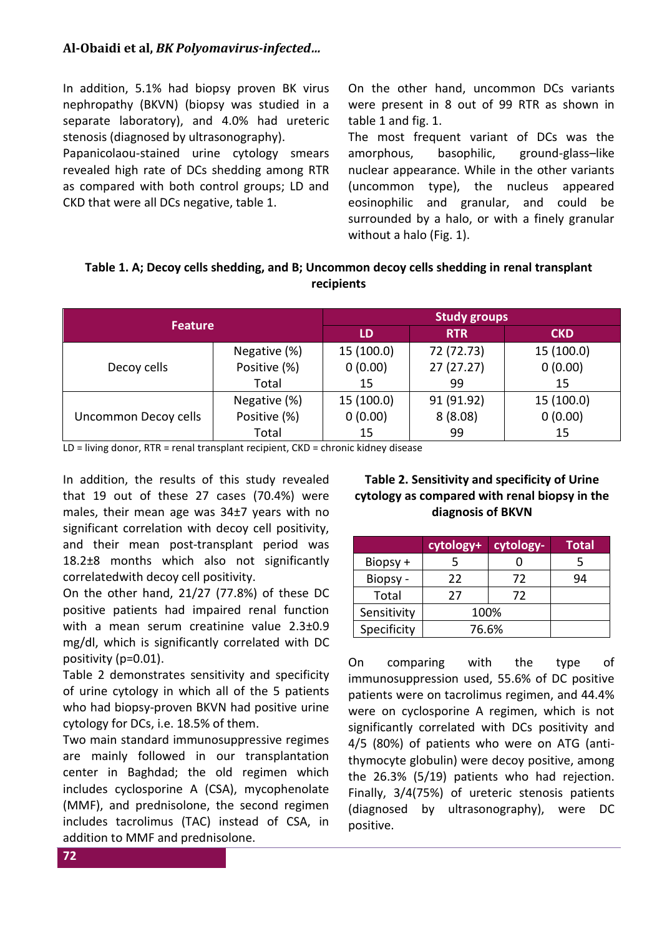In addition, 5.1% had biopsy proven BK virus nephropathy (BKVN) (biopsy was studied in a separate laboratory), and 4.0% had ureteric stenosis (diagnosed by ultrasonography).

Papanicolaou-stained urine cytology smears revealed high rate of DCs shedding among RTR as compared with both control groups; LD and CKD that were all DCs negative, table 1.

On the other hand, uncommon DCs variants were present in 8 out of 99 RTR as shown in table 1 and fig. 1.

The most frequent variant of DCs was the amorphous, basophilic, ground-glass–like nuclear appearance. While in the other variants (uncommon type), the nucleus appeared eosinophilic and granular, and could be surrounded by a halo, or with a finely granular without a halo (Fig. 1).

# **Table 1. A; Decoy cells shedding, and B; Uncommon decoy cells shedding in renal transplant recipients**

|                      | <b>Study groups</b> |            |            |            |
|----------------------|---------------------|------------|------------|------------|
| <b>Feature</b>       | LD                  | <b>RTR</b> | <b>CKD</b> |            |
|                      | Negative (%)        | 15(100.0)  | 72 (72.73) | 15(100.0)  |
| Decoy cells          | Positive (%)        | 0(0.00)    | 27(27.27)  | 0(0.00)    |
|                      | Total               | 15         | 99         | 15         |
|                      | Negative (%)        | 15(100.0)  | 91 (91.92) | 15 (100.0) |
| Uncommon Decoy cells | Positive (%)        | 0(0.00)    | 8(8.08)    | 0(0.00)    |
|                      | Total               | 15         | 99         | 15         |

LD = living donor, RTR = renal transplant recipient, CKD = chronic kidney disease

In addition, the results of this study revealed that 19 out of these 27 cases (70.4%) were males, their mean age was 34±7 years with no significant correlation with decoy cell positivity, and their mean post-transplant period was 18.2±8 months which also not significantly correlatedwith decoy cell positivity.

On the other hand, 21/27 (77.8%) of these DC positive patients had impaired renal function with a mean serum creatinine value 2.3±0.9 mg/dl, which is significantly correlated with DC positivity (p=0.01).

Table 2 demonstrates sensitivity and specificity of urine cytology in which all of the 5 patients who had biopsy-proven BKVN had positive urine cytology for DCs, i.e. 18.5% of them.

Two main standard immunosuppressive regimes are mainly followed in our transplantation center in Baghdad; the old regimen which includes cyclosporine A (CSA), mycophenolate (MMF), and prednisolone, the second regimen includes tacrolimus (TAC) instead of CSA, in addition to MMF and prednisolone.

# **Table 2. Sensitivity and specificity of Urine cytology as compared with renal biopsy in the diagnosis of BKVN**

|             | cytology+ | cytology- | <b>Total</b> |
|-------------|-----------|-----------|--------------|
| Biopsy +    |           |           |              |
| Biopsy -    | 22        | 72        | 94           |
| Total       | 27        | 72        |              |
| Sensitivity | 100%      |           |              |
| Specificity | 76.6%     |           |              |

On comparing with the type of immunosuppression used, 55.6% of DC positive patients were on tacrolimus regimen, and 44.4% were on cyclosporine A regimen, which is not significantly correlated with DCs positivity and 4/5 (80%) of patients who were on ATG (antithymocyte globulin) were decoy positive, among the 26.3% (5/19) patients who had rejection. Finally, 3/4(75%) of ureteric stenosis patients (diagnosed by ultrasonography), were DC positive.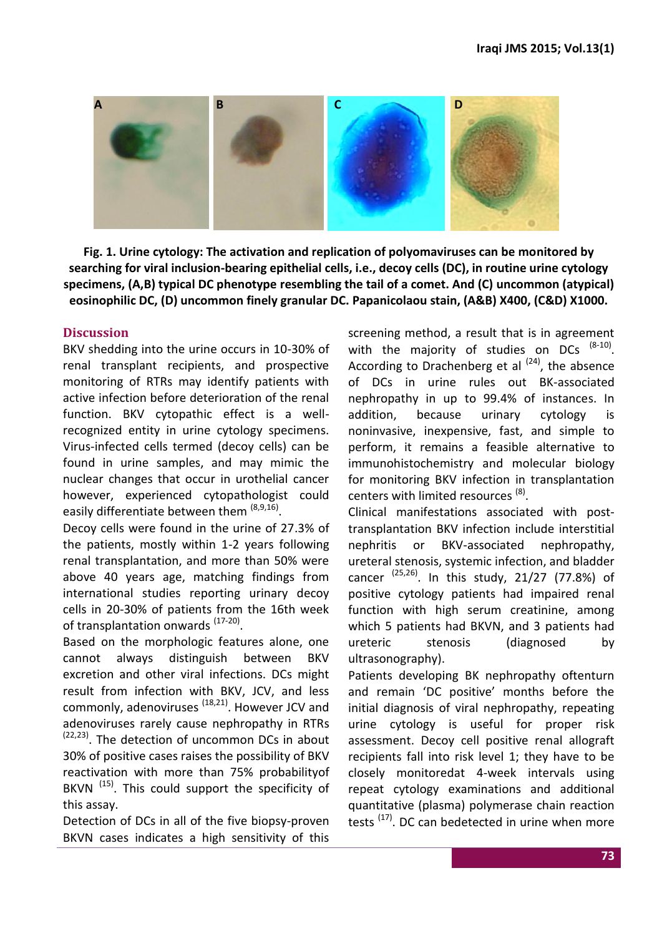

**Fig. 1. Urine cytology: The activation and replication of polyomaviruses can be monitored by searching for viral inclusion-bearing epithelial cells, i.e., decoy cells (DC), in routine urine cytology specimens, (A,B) typical DC phenotype resembling the tail of a comet. And (C) uncommon (atypical) eosinophilic DC, (D) uncommon finely granular DC. Papanicolaou stain, (A&B) X400, (C&D) X1000.**

#### **Discussion**

BKV shedding into the urine occurs in 10-30% of renal transplant recipients, and prospective monitoring of RTRs may identify patients with active infection before deterioration of the renal function. BKV cytopathic effect is a wellrecognized entity in urine cytology specimens. Virus-infected cells termed (decoy cells) can be found in urine samples, and may mimic the nuclear changes that occur in urothelial cancer however, experienced cytopathologist could easily differentiate between them <sup>(8,9,16)</sup>.

Decoy cells were found in the urine of 27.3% of the patients, mostly within 1-2 years following renal transplantation, and more than 50% were above 40 years age, matching findings from international studies reporting urinary decoy cells in 20-30% of patients from the 16th week of transplantation onwards <sup>(17-20)</sup>.

Based on the morphologic features alone, one cannot always distinguish between BKV excretion and other viral infections. DCs might result from infection with BKV, JCV, and less commonly, adenoviruses <sup>(18,21)</sup>. However JCV and adenoviruses rarely cause nephropathy in RTRs  $(22,23)$ . The detection of uncommon DCs in about 30% of positive cases raises the possibility of BKV reactivation with more than 75% probabilityof BKVN<sup>(15)</sup>. This could support the specificity of this assay.

Detection of DCs in all of the five biopsy-proven BKVN cases indicates a high sensitivity of this screening method, a result that is in agreement with the majority of studies on DCs <sup>(8-10)</sup>. According to Drachenberg et al  $(24)$ , the absence of DCs in urine rules out BK-associated nephropathy in up to 99.4% of instances. In addition, because urinary cytology is noninvasive, inexpensive, fast, and simple to perform, it remains a feasible alternative to immunohistochemistry and molecular biology for monitoring BKV infection in transplantation centers with limited resources<sup>(8)</sup>.

Clinical manifestations associated with posttransplantation BKV infection include interstitial nephritis or BKV-associated nephropathy, ureteral stenosis, systemic infection, and bladder cancer<sup>(25,26)</sup>. In this study, 21/27 (77.8%) of positive cytology patients had impaired renal function with high serum creatinine, among which 5 patients had BKVN, and 3 patients had ureteric stenosis (diagnosed by ultrasonography).

Patients developing BK nephropathy oftenturn and remain 'DC positive' months before the initial diagnosis of viral nephropathy, repeating urine cytology is useful for proper risk assessment. Decoy cell positive renal allograft recipients fall into risk level 1; they have to be closely monitoredat 4-week intervals using repeat cytology examinations and additional quantitative (plasma) polymerase chain reaction tests<sup>(17)</sup>. DC can bedetected in urine when more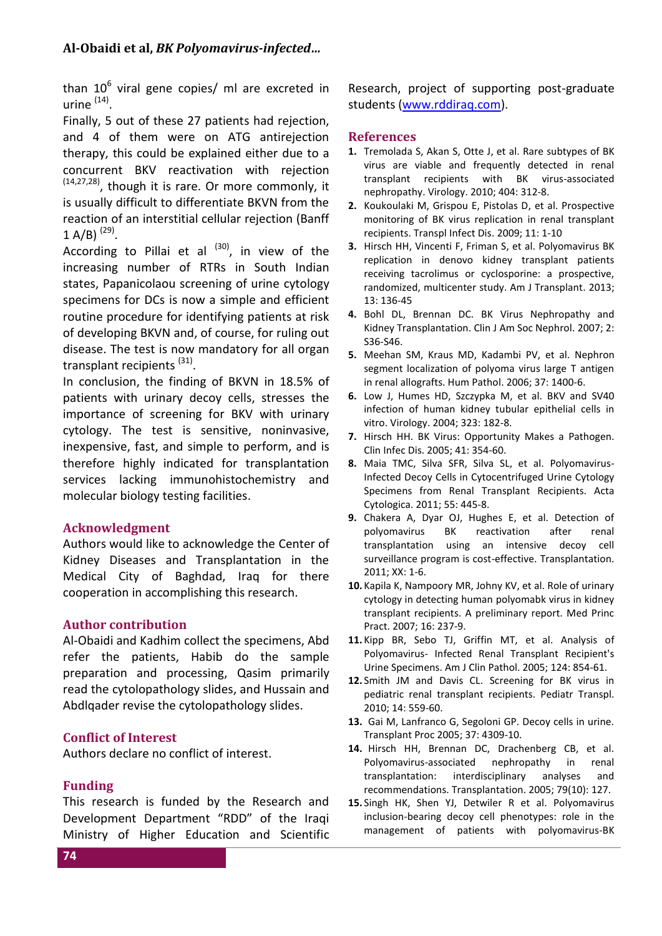than 10<sup>6</sup> viral gene copies/ ml are excreted in urine (14) .

Finally, 5 out of these 27 patients had rejection, and 4 of them were on ATG antirejection therapy, this could be explained either due to a concurrent BKV reactivation with rejection  $(14,27,28)$ , though it is rare. Or more commonly, it is usually difficult to differentiate BKVN from the reaction of an interstitial cellular rejection (Banff  $1 A/B$ )  $^{(29)}$ .

According to Pillai et al  $(30)$ , in view of the increasing number of RTRs in South Indian states, Papanicolaou screening of urine cytology specimens for DCs is now a simple and efficient routine procedure for identifying patients at risk of developing BKVN and, of course, for ruling out disease. The test is now mandatory for all organ transplant recipients <sup>(31)</sup>.

In conclusion, the finding of BKVN in 18.5% of patients with urinary decoy cells, stresses the importance of screening for BKV with urinary cytology. The test is sensitive, noninvasive, inexpensive, fast, and simple to perform, and is therefore highly indicated for transplantation services lacking immunohistochemistry and molecular biology testing facilities.

### **Acknowledgment**

Authors would like to acknowledge the Center of Kidney Diseases and Transplantation in the Medical City of Baghdad, Iraq for there cooperation in accomplishing this research.

### **Author contribution**

Al-Obaidi and Kadhim collect the specimens, Abd refer the patients, Habib do the sample preparation and processing, Qasim primarily read the cytolopathology slides, and Hussain and Abdlqader revise the cytolopathology slides.

# **Conflict of Interest**

Authors declare no conflict of interest.

# **Funding**

This research is funded by the Research and Development Department "RDD" of the Iraqi Ministry of Higher Education and Scientific

Research, project of supporting post-graduate students [\(www.rddiraq.com\)](http://www.rddiraq.com/).

### **References**

- **1.** Tremolada S, Akan S, Otte J, et al. Rare subtypes of BK virus are viable and frequently detected in renal transplant recipients with BK virus-associated nephropathy. Virology. 2010; 404: 312-8.
- **2.** Koukoulaki M, Grispou E, Pistolas D, et al. Prospective monitoring of BK virus replication in renal transplant recipients. Transpl Infect Dis. 2009; 11: 1-10
- **3.** Hirsch HH, Vincenti F, Friman S, et al. Polyomavirus BK replication in denovo kidney transplant patients receiving tacrolimus or cyclosporine: a prospective, randomized, multicenter study. Am J Transplant. 2013; 13: 136-45
- **4.** Bohl DL, Brennan DC. BK Virus Nephropathy and Kidney Transplantation. Clin J Am Soc Nephrol. 2007; 2: S36-S46.
- **5.** Meehan SM, Kraus MD, Kadambi PV, et al. Nephron segment localization of polyoma virus large T antigen in renal allografts. Hum Pathol. 2006; 37: 1400-6.
- **6.** Low J, Humes HD, Szczypka M, et al. BKV and SV40 infection of human kidney tubular epithelial cells in vitro. Virology. 2004; 323: 182-8.
- **7.** Hirsch HH. BK Virus: Opportunity Makes a Pathogen. Clin Infec Dis. 2005; 41: 354-60.
- **8.** Maia TMC, Silva SFR, Silva SL, et al. Polyomavirus-Infected Decoy Cells in Cytocentrifuged Urine Cytology Specimens from Renal Transplant Recipients. Acta Cytologica. 2011; 55: 445-8.
- **9.** Chakera A, Dyar OJ, Hughes E, et al. Detection of polyomavirus BK reactivation after renal transplantation using an intensive decoy cell surveillance program is cost-effective. Transplantation. 2011; XX: 1-6.
- **10.** Kapila K, Nampoory MR, Johny KV, et al. Role of urinary cytology in detecting human polyomabk virus in kidney transplant recipients. A preliminary report. Med Princ Pract. 2007; 16: 237-9.
- **11.** Kipp BR, Sebo TJ, Griffin MT, et al. Analysis of Polyomavirus- Infected Renal Transplant Recipient's Urine Specimens. Am J Clin Pathol. 2005; 124: 854-61.
- **12.** Smith JM and Davis CL. Screening for BK virus in pediatric renal transplant recipients. Pediatr Transpl. 2010; 14: 559-60.
- **13.** Gai M, Lanfranco G, Segoloni GP. Decoy cells in urine. Transplant Proc 2005; 37: 4309-10.
- **14.** Hirsch HH, Brennan DC, Drachenberg CB, et al. Polyomavirus-associated nephropathy in renal transplantation: interdisciplinary analyses and recommendations. Transplantation. 2005; 79(10): 127.
- **15.** Singh HK, Shen YJ, Detwiler R et al. Polyomavirus inclusion-bearing decoy cell phenotypes: role in the management of patients with polyomavirus-BK